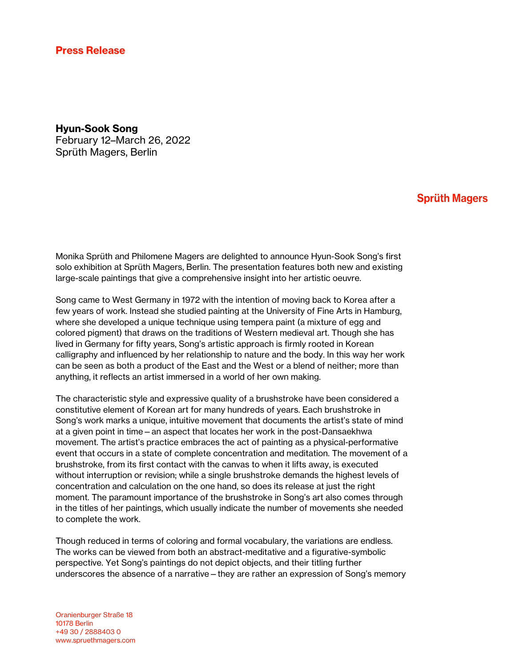## Hyun-Sook Song February 12–March 26, 2022 Sprüth Magers, Berlin

## **Sprüth Magers**

Monika Sprüth and Philomene Magers are delighted to announce Hyun-Sook Song's first solo exhibition at Sprüth Magers, Berlin. The presentation features both new and existing large-scale paintings that give a comprehensive insight into her artistic oeuvre.

Song came to West Germany in 1972 with the intention of moving back to Korea after a few years of work. Instead she studied painting at the University of Fine Arts in Hamburg, where she developed a unique technique using tempera paint (a mixture of egg and colored pigment) that draws on the traditions of Western medieval art. Though she has lived in Germany for fifty years, Song's artistic approach is firmly rooted in Korean calligraphy and influenced by her relationship to nature and the body. In this way her work can be seen as both a product of the East and the West or a blend of neither; more than anything, it reflects an artist immersed in a world of her own making.

The characteristic style and expressive quality of a brushstroke have been considered a constitutive element of Korean art for many hundreds of years. Each brushstroke in Song's work marks a unique, intuitive movement that documents the artist's state of mind at a given point in time—an aspect that locates her work in the post-Dansaekhwa movement. The artist's practice embraces the act of painting as a physical-performative event that occurs in a state of complete concentration and meditation. The movement of a brushstroke, from its first contact with the canvas to when it lifts away, is executed without interruption or revision; while a single brushstroke demands the highest levels of concentration and calculation on the one hand, so does its release at just the right moment. The paramount importance of the brushstroke in Song's art also comes through in the titles of her paintings, which usually indicate the number of movements she needed to complete the work.

Though reduced in terms of coloring and formal vocabulary, the variations are endless. The works can be viewed from both an abstract-meditative and a figurative-symbolic perspective. Yet Song's paintings do not depict objects, and their titling further underscores the absence of a narrative—they are rather an expression of Song's memory